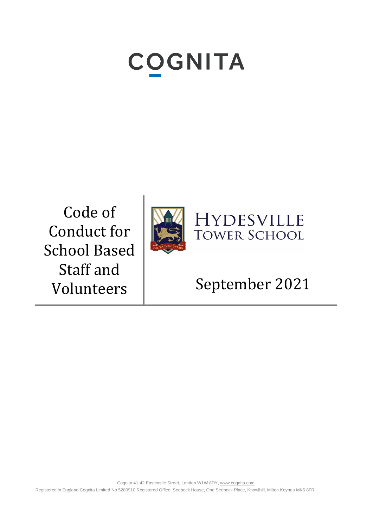# **COGNITA**

Code of Conduct for School Based Staff and





# Volunteers | September 2021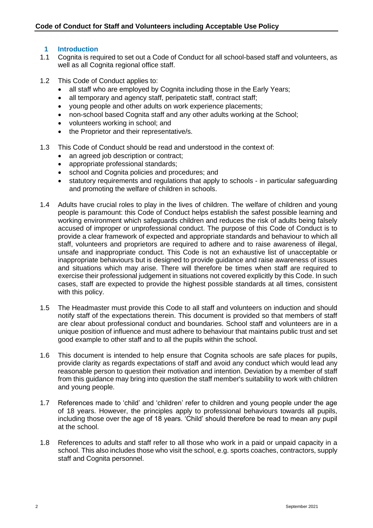# **1 Introduction**

- 1.1 Cognita is required to set out a Code of Conduct for all school-based staff and volunteers, as well as all Cognita regional office staff.
- 1.2 This Code of Conduct applies to:
	- all staff who are employed by Cognita including those in the Early Years;
	- all temporary and agency staff, peripatetic staff, contract staff;
	- young people and other adults on work experience placements;
	- non-school based Cognita staff and any other adults working at the School;
	- volunteers working in school; and
	- the Proprietor and their representative/s.
- 1.3 This Code of Conduct should be read and understood in the context of:
	- an agreed job description or contract;
	- appropriate professional standards;
	- school and Cognita policies and procedures; and
	- statutory requirements and regulations that apply to schools in particular safeguarding and promoting the welfare of children in schools.
- 1.4 Adults have crucial roles to play in the lives of children. The welfare of children and young people is paramount: this Code of Conduct helps establish the safest possible learning and working environment which safeguards children and reduces the risk of adults being falsely accused of improper or unprofessional conduct. The purpose of this Code of Conduct is to provide a clear framework of expected and appropriate standards and behaviour to which all staff, volunteers and proprietors are required to adhere and to raise awareness of illegal, unsafe and inappropriate conduct. This Code is not an exhaustive list of unacceptable or inappropriate behaviours but is designed to provide guidance and raise awareness of issues and situations which may arise. There will therefore be times when staff are required to exercise their professional judgement in situations not covered explicitly by this Code. In such cases, staff are expected to provide the highest possible standards at all times, consistent with this policy.
- 1.5 The Headmaster must provide this Code to all staff and volunteers on induction and should notify staff of the expectations therein. This document is provided so that members of staff are clear about professional conduct and boundaries. School staff and volunteers are in a unique position of influence and must adhere to behaviour that maintains public trust and set good example to other staff and to all the pupils within the school.
- 1.6 This document is intended to help ensure that Cognita schools are safe places for pupils, provide clarity as regards expectations of staff and avoid any conduct which would lead any reasonable person to question their motivation and intention. Deviation by a member of staff from this guidance may bring into question the staff member's suitability to work with children and young people.
- 1.7 References made to 'child' and 'children' refer to children and young people under the age of 18 years. However, the principles apply to professional behaviours towards all pupils, including those over the age of 18 years. 'Child' should therefore be read to mean any pupil at the school.
- 1.8 References to adults and staff refer to all those who work in a paid or unpaid capacity in a school. This also includes those who visit the school, e.g. sports coaches, contractors, supply staff and Cognita personnel.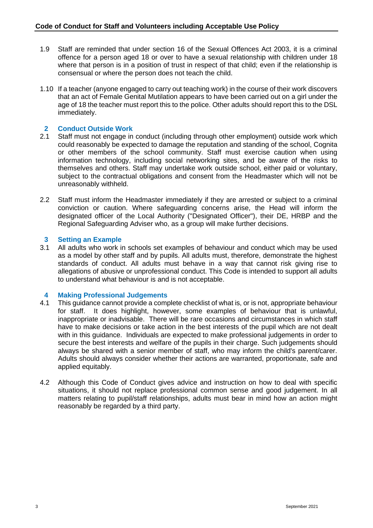- 1.9 Staff are reminded that under section 16 of the Sexual Offences Act 2003, it is a criminal offence for a person aged 18 or over to have a sexual relationship with children under 18 where that person is in a position of trust in respect of that child; even if the relationship is consensual or where the person does not teach the child.
- 1.10 If a teacher (anyone engaged to carry out teaching work) in the course of their work discovers that an act of Female Genital Mutilation appears to have been carried out on a girl under the age of 18 the teacher must report this to the police. Other adults should report this to the DSL immediately.

# **2 Conduct Outside Work**

- 2.1 Staff must not engage in conduct (including through other employment) outside work which could reasonably be expected to damage the reputation and standing of the school, Cognita or other members of the school community. Staff must exercise caution when using information technology, including social networking sites, and be aware of the risks to themselves and others. Staff may undertake work outside school, either paid or voluntary, subject to the contractual obligations and consent from the Headmaster which will not be unreasonably withheld.
- 2.2 Staff must inform the Headmaster immediately if they are arrested or subject to a criminal conviction or caution. Where safeguarding concerns arise, the Head will inform the designated officer of the Local Authority ("Designated Officer"), their DE, HRBP and the Regional Safeguarding Adviser who, as a group will make further decisions.

# **3 Setting an Example**

3.1 All adults who work in schools set examples of behaviour and conduct which may be used as a model by other staff and by pupils. All adults must, therefore, demonstrate the highest standards of conduct. All adults must behave in a way that cannot risk giving rise to allegations of abusive or unprofessional conduct. This Code is intended to support all adults to understand what behaviour is and is not acceptable.

# **4 Making Professional Judgements**

- 4.1 This guidance cannot provide a complete checklist of what is, or is not, appropriate behaviour for staff. It does highlight, however, some examples of behaviour that is unlawful, inappropriate or inadvisable. There will be rare occasions and circumstances in which staff have to make decisions or take action in the best interests of the pupil which are not dealt with in this guidance. Individuals are expected to make professional judgements in order to secure the best interests and welfare of the pupils in their charge. Such judgements should always be shared with a senior member of staff, who may inform the child's parent/carer. Adults should always consider whether their actions are warranted, proportionate, safe and applied equitably.
- 4.2 Although this Code of Conduct gives advice and instruction on how to deal with specific situations, it should not replace professional common sense and good judgement. In all matters relating to pupil/staff relationships, adults must bear in mind how an action might reasonably be regarded by a third party.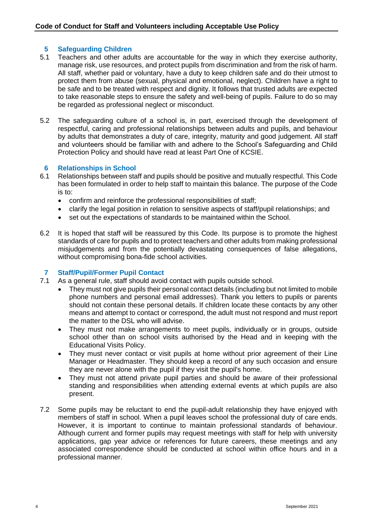# **5 Safeguarding Children**

- 5.1 Teachers and other adults are accountable for the way in which they exercise authority, manage risk, use resources, and protect pupils from discrimination and from the risk of harm. All staff, whether paid or voluntary, have a duty to keep children safe and do their utmost to protect them from abuse (sexual, physical and emotional, neglect). Children have a right to be safe and to be treated with respect and dignity. It follows that trusted adults are expected to take reasonable steps to ensure the safety and well-being of pupils. Failure to do so may be regarded as professional neglect or misconduct.
- 5.2 The safeguarding culture of a school is, in part, exercised through the development of respectful, caring and professional relationships between adults and pupils, and behaviour by adults that demonstrates a duty of care, integrity, maturity and good judgement. All staff and volunteers should be familiar with and adhere to the School's Safeguarding and Child Protection Policy and should have read at least Part One of KCSIE.

# **6 Relationships in School**

- 6.1 Relationships between staff and pupils should be positive and mutually respectful. This Code has been formulated in order to help staff to maintain this balance. The purpose of the Code is to:
	- confirm and reinforce the professional responsibilities of staff;
	- clarify the legal position in relation to sensitive aspects of staff/pupil relationships; and
	- set out the expectations of standards to be maintained within the School.
- 6.2 It is hoped that staff will be reassured by this Code. Its purpose is to promote the highest standards of care for pupils and to protect teachers and other adults from making professional misjudgements and from the potentially devastating consequences of false allegations, without compromising bona-fide school activities.

# **7 Staff/Pupil/Former Pupil Contact**

- 7.1 As a general rule, staff should avoid contact with pupils outside school.
	- They must not give pupils their personal contact details (including but not limited to mobile phone numbers and personal email addresses). Thank you letters to pupils or parents should not contain these personal details. If children locate these contacts by any other means and attempt to contact or correspond, the adult must not respond and must report the matter to the DSL who will advise.
	- They must not make arrangements to meet pupils, individually or in groups, outside school other than on school visits authorised by the Head and in keeping with the Educational Visits Policy.
	- They must never contact or visit pupils at home without prior agreement of their Line Manager or Headmaster. They should keep a record of any such occasion and ensure they are never alone with the pupil if they visit the pupil's home.
	- They must not attend private pupil parties and should be aware of their professional standing and responsibilities when attending external events at which pupils are also present.
- 7.2 Some pupils may be reluctant to end the pupil-adult relationship they have enjoyed with members of staff in school. When a pupil leaves school the professional duty of care ends. However, it is important to continue to maintain professional standards of behaviour. Although current and former pupils may request meetings with staff for help with university applications, gap year advice or references for future careers, these meetings and any associated correspondence should be conducted at school within office hours and in a professional manner.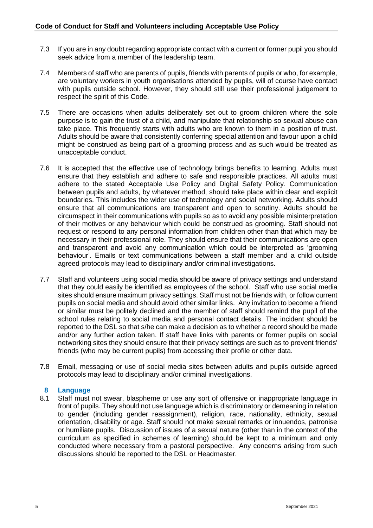- 7.3 If you are in any doubt regarding appropriate contact with a current or former pupil you should seek advice from a member of the leadership team.
- 7.4 Members of staff who are parents of pupils, friends with parents of pupils or who, for example, are voluntary workers in youth organisations attended by pupils, will of course have contact with pupils outside school. However, they should still use their professional judgement to respect the spirit of this Code.
- 7.5 There are occasions when adults deliberately set out to groom children where the sole purpose is to gain the trust of a child, and manipulate that relationship so sexual abuse can take place. This frequently starts with adults who are known to them in a position of trust. Adults should be aware that consistently conferring special attention and favour upon a child might be construed as being part of a grooming process and as such would be treated as unacceptable conduct.
- 7.6 It is accepted that the effective use of technology brings benefits to learning. Adults must ensure that they establish and adhere to safe and responsible practices. All adults must adhere to the stated Acceptable Use Policy and Digital Safety Policy. Communication between pupils and adults, by whatever method, should take place within clear and explicit boundaries. This includes the wider use of technology and social networking. Adults should ensure that all communications are transparent and open to scrutiny. Adults should be circumspect in their communications with pupils so as to avoid any possible misinterpretation of their motives or any behaviour which could be construed as grooming. Staff should not request or respond to any personal information from children other than that which may be necessary in their professional role. They should ensure that their communications are open and transparent and avoid any communication which could be interpreted as 'grooming behaviour'. Emails or text communications between a staff member and a child outside agreed protocols may lead to disciplinary and/or criminal investigations.
- 7.7 Staff and volunteers using social media should be aware of privacy settings and understand that they could easily be identified as employees of the school. Staff who use social media sites should ensure maximum privacy settings. Staff must not be friends with, or follow current pupils on social media and should avoid other similar links. Any invitation to become a friend or similar must be politely declined and the member of staff should remind the pupil of the school rules relating to social media and personal contact details. The incident should be reported to the DSL so that s/he can make a decision as to whether a record should be made and/or any further action taken. If staff have links with parents or former pupils on social networking sites they should ensure that their privacy settings are such as to prevent friends' friends (who may be current pupils) from accessing their profile or other data.
- 7.8 Email, messaging or use of social media sites between adults and pupils outside agreed protocols may lead to disciplinary and/or criminal investigations.

# **8 Language**

8.1 Staff must not swear, blaspheme or use any sort of offensive or inappropriate language in front of pupils. They should not use language which is discriminatory or demeaning in relation to gender (including gender reassignment), religion, race, nationality, ethnicity, sexual orientation, disability or age. Staff should not make sexual remarks or innuendos, patronise or humiliate pupils. Discussion of issues of a sexual nature (other than in the context of the curriculum as specified in schemes of learning) should be kept to a minimum and only conducted where necessary from a pastoral perspective. Any concerns arising from such discussions should be reported to the DSL or Headmaster.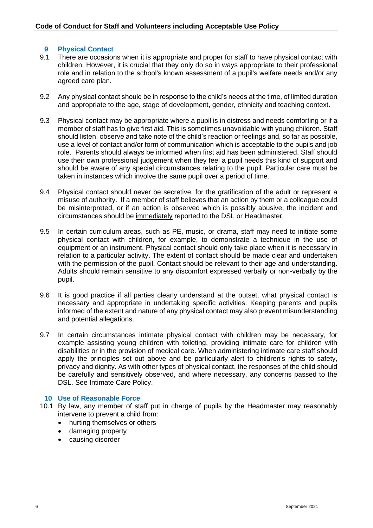# **9 Physical Contact**

- 9.1 There are occasions when it is appropriate and proper for staff to have physical contact with children. However, it is crucial that they only do so in ways appropriate to their professional role and in relation to the school's known assessment of a pupil's welfare needs and/or any agreed care plan.
- 9.2 Any physical contact should be in response to the child's needs at the time, of limited duration and appropriate to the age, stage of development, gender, ethnicity and teaching context.
- 9.3 Physical contact may be appropriate where a pupil is in distress and needs comforting or if a member of staff has to give first aid. This is sometimes unavoidable with young children. Staff should listen, observe and take note of the child's reaction or feelings and, so far as possible, use a level of contact and/or form of communication which is acceptable to the pupils and job role. Parents should always be informed when first aid has been administered. Staff should use their own professional judgement when they feel a pupil needs this kind of support and should be aware of any special circumstances relating to the pupil. Particular care must be taken in instances which involve the same pupil over a period of time.
- 9.4 Physical contact should never be secretive, for the gratification of the adult or represent a misuse of authority. If a member of staff believes that an action by them or a colleague could be misinterpreted, or if an action is observed which is possibly abusive, the incident and circumstances should be immediately reported to the DSL or Headmaster.
- 9.5 In certain curriculum areas, such as PE, music, or drama, staff may need to initiate some physical contact with children, for example, to demonstrate a technique in the use of equipment or an instrument. Physical contact should only take place when it is necessary in relation to a particular activity. The extent of contact should be made clear and undertaken with the permission of the pupil. Contact should be relevant to their age and understanding. Adults should remain sensitive to any discomfort expressed verbally or non-verbally by the pupil.
- 9.6 It is good practice if all parties clearly understand at the outset, what physical contact is necessary and appropriate in undertaking specific activities. Keeping parents and pupils informed of the extent and nature of any physical contact may also prevent misunderstanding and potential allegations.
- 9.7 In certain circumstances intimate physical contact with children may be necessary, for example assisting young children with toileting, providing intimate care for children with disabilities or in the provision of medical care. When administering intimate care staff should apply the principles set out above and be particularly alert to children's rights to safety, privacy and dignity. As with other types of physical contact, the responses of the child should be carefully and sensitively observed, and where necessary, any concerns passed to the DSL. See Intimate Care Policy.

# **10 Use of Reasonable Force**

- 10.1 By law, any member of staff put in charge of pupils by the Headmaster may reasonably intervene to prevent a child from:
	- hurting themselves or others
	- damaging property
	- causing disorder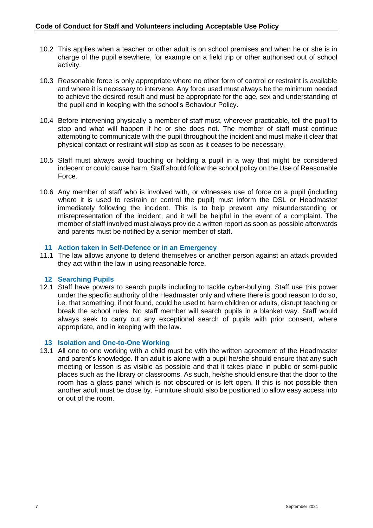- 10.2 This applies when a teacher or other adult is on school premises and when he or she is in charge of the pupil elsewhere, for example on a field trip or other authorised out of school activity.
- 10.3 Reasonable force is only appropriate where no other form of control or restraint is available and where it is necessary to intervene. Any force used must always be the minimum needed to achieve the desired result and must be appropriate for the age, sex and understanding of the pupil and in keeping with the school's Behaviour Policy.
- 10.4 Before intervening physically a member of staff must, wherever practicable, tell the pupil to stop and what will happen if he or she does not. The member of staff must continue attempting to communicate with the pupil throughout the incident and must make it clear that physical contact or restraint will stop as soon as it ceases to be necessary.
- 10.5 Staff must always avoid touching or holding a pupil in a way that might be considered indecent or could cause harm. Staff should follow the school policy on the Use of Reasonable Force.
- 10.6 Any member of staff who is involved with, or witnesses use of force on a pupil (including where it is used to restrain or control the pupil) must inform the DSL or Headmaster immediately following the incident. This is to help prevent any misunderstanding or misrepresentation of the incident, and it will be helpful in the event of a complaint. The member of staff involved must always provide a written report as soon as possible afterwards and parents must be notified by a senior member of staff.

# **11 Action taken in Self-Defence or in an Emergency**

11.1 The law allows anyone to defend themselves or another person against an attack provided they act within the law in using reasonable force.

# **12 Searching Pupils**

12.1 Staff have powers to search pupils including to tackle cyber-bullying. Staff use this power under the specific authority of the Headmaster only and where there is good reason to do so, i.e. that something, if not found, could be used to harm children or adults, disrupt teaching or break the school rules. No staff member will search pupils in a blanket way. Staff would always seek to carry out any exceptional search of pupils with prior consent, where appropriate, and in keeping with the law.

# **13 Isolation and One-to-One Working**

13.1 All one to one working with a child must be with the written agreement of the Headmaster and parent's knowledge. If an adult is alone with a pupil he/she should ensure that any such meeting or lesson is as visible as possible and that it takes place in public or semi-public places such as the library or classrooms. As such, he/she should ensure that the door to the room has a glass panel which is not obscured or is left open. If this is not possible then another adult must be close by. Furniture should also be positioned to allow easy access into or out of the room.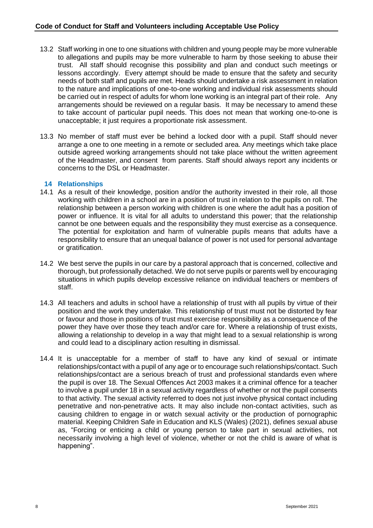- 13.2 Staff working in one to one situations with children and young people may be more vulnerable to allegations and pupils may be more vulnerable to harm by those seeking to abuse their trust. All staff should recognise this possibility and plan and conduct such meetings or lessons accordingly. Every attempt should be made to ensure that the safety and security needs of both staff and pupils are met. Heads should undertake a risk assessment in relation to the nature and implications of one-to-one working and individual risk assessments should be carried out in respect of adults for whom lone working is an integral part of their role. Any arrangements should be reviewed on a regular basis. It may be necessary to amend these to take account of particular pupil needs. This does not mean that working one-to-one is unacceptable; it just requires a proportionate risk assessment.
- 13.3 No member of staff must ever be behind a locked door with a pupil. Staff should never arrange a one to one meeting in a remote or secluded area. Any meetings which take place outside agreed working arrangements should not take place without the written agreement of the Headmaster, and consent from parents. Staff should always report any incidents or concerns to the DSL or Headmaster.

# **14 Relationships**

- 14.1 As a result of their knowledge, position and/or the authority invested in their role, all those working with children in a school are in a position of trust in relation to the pupils on roll. The relationship between a person working with children is one where the adult has a position of power or influence. It is vital for all adults to understand this power; that the relationship cannot be one between equals and the responsibility they must exercise as a consequence. The potential for exploitation and harm of vulnerable pupils means that adults have a responsibility to ensure that an unequal balance of power is not used for personal advantage or gratification.
- 14.2 We best serve the pupils in our care by a pastoral approach that is concerned, collective and thorough, but professionally detached. We do not serve pupils or parents well by encouraging situations in which pupils develop excessive reliance on individual teachers or members of staff.
- 14.3 All teachers and adults in school have a relationship of trust with all pupils by virtue of their position and the work they undertake. This relationship of trust must not be distorted by fear or favour and those in positions of trust must exercise responsibility as a consequence of the power they have over those they teach and/or care for. Where a relationship of trust exists, allowing a relationship to develop in a way that might lead to a sexual relationship is wrong and could lead to a disciplinary action resulting in dismissal.
- 14.4 It is unacceptable for a member of staff to have any kind of sexual or intimate relationships/contact with a pupil of any age or to encourage such relationships/contact. Such relationships/contact are a serious breach of trust and professional standards even where the pupil is over 18. The Sexual Offences Act 2003 makes it a criminal offence for a teacher to involve a pupil under 18 in a sexual activity regardless of whether or not the pupil consents to that activity. The sexual activity referred to does not just involve physical contact including penetrative and non-penetrative acts. It may also include non-contact activities, such as causing children to engage in or watch sexual activity or the production of pornographic material. Keeping Children Safe in Education and KLS (Wales) (2021), defines *s*exual abuse as, "Forcing or enticing a child or young person to take part in sexual activities, not necessarily involving a high level of violence, whether or not the child is aware of what is happening".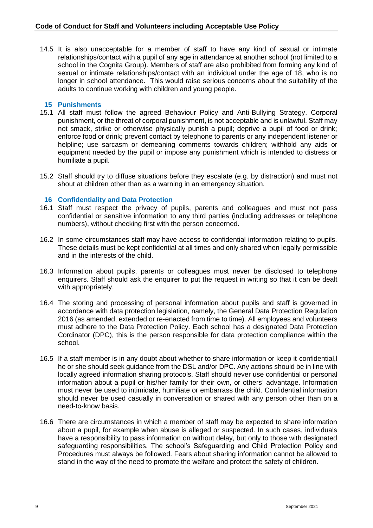14.5 It is also unacceptable for a member of staff to have any kind of sexual or intimate relationships/contact with a pupil of any age in attendance at another school (not limited to a school in the Cognita Group). Members of staff are also prohibited from forming any kind of sexual or intimate relationships/contact with an individual under the age of 18, who is no longer in school attendance. This would raise serious concerns about the suitability of the adults to continue working with children and young people.

# **15 Punishments**

- 15.1 All staff must follow the agreed Behaviour Policy and Anti-Bullying Strategy. Corporal punishment, or the threat of corporal punishment, is not acceptable and is unlawful. Staff may not smack, strike or otherwise physically punish a pupil; deprive a pupil of food or drink; enforce food or drink; prevent contact by telephone to parents or any independent listener or helpline; use sarcasm or demeaning comments towards children; withhold any aids or equipment needed by the pupil or impose any punishment which is intended to distress or humiliate a pupil.
- 15.2 Staff should try to diffuse situations before they escalate (e.g. by distraction) and must not shout at children other than as a warning in an emergency situation.

#### **16 Confidentiality and Data Protection**

- 16.1 Staff must respect the privacy of pupils, parents and colleagues and must not pass confidential or sensitive information to any third parties (including addresses or telephone numbers), without checking first with the person concerned.
- 16.2 In some circumstances staff may have access to confidential information relating to pupils. These details must be kept confidential at all times and only shared when legally permissible and in the interests of the child.
- 16.3 Information about pupils, parents or colleagues must never be disclosed to telephone enquirers. Staff should ask the enquirer to put the request in writing so that it can be dealt with appropriately.
- 16.4 The storing and processing of personal information about pupils and staff is governed in accordance with data protection legislation, namely, the General Data Protection Regulation 2016 (as amended, extended or re-enacted from time to time). All employees and volunteers must adhere to the Data Protection Policy. Each school has a designated Data Protection Cordinator (DPC), this is the person responsible for data protection compliance within the school.
- 16.5 If a staff member is in any doubt about whether to share information or keep it confidential,l he or she should seek guidance from the DSL and/or DPC. Any actions should be in line with locally agreed information sharing protocols. Staff should never use confidential or personal information about a pupil or his/her family for their own, or others' advantage. Information must never be used to intimidate, humiliate or embarrass the child. Confidential information should never be used casually in conversation or shared with any person other than on a need-to-know basis.
- 16.6 There are circumstances in which a member of staff may be expected to share information about a pupil, for example when abuse is alleged or suspected. In such cases, individuals have a responsibility to pass information on without delay, but only to those with designated safeguarding responsibilities. The school's Safeguarding and Child Protection Policy and Procedures must always be followed. Fears about sharing information cannot be allowed to stand in the way of the need to promote the welfare and protect the safety of children.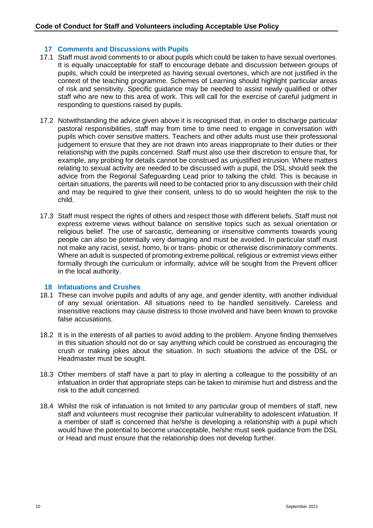# **17 Comments and Discussions with Pupils**

- 17.1 Staff must avoid comments to or about pupils which could be taken to have sexual overtones. It is equally unacceptable for staff to encourage debate and discussion between groups of pupils, which could be interpreted as having sexual overtones, which are not justified in the context of the teaching programme. Schemes of Learning should highlight particular areas of risk and sensitivity. Specific guidance may be needed to assist newly qualified or other staff who are new to this area of work. This will call for the exercise of careful judgment in responding to questions raised by pupils.
- 17.2 Notwithstanding the advice given above it is recognised that, in order to discharge particular pastoral responsibilities, staff may from time to time need to engage in conversation with pupils which cover sensitive matters. Teachers and other adults must use their professional judgement to ensure that they are not drawn into areas inappropriate to their duties or their relationship with the pupils concerned. Staff must also use their discretion to ensure that, for example, any probing for details cannot be construed as unjustified intrusion. Where matters relating to sexual activity are needed to be discussed with a pupil, the DSL should seek the advice from the Regional Safeguarding Lead prior to talking the child. This is because in certain situations, the parents will need to be contacted prior to any discussion with their child and may be required to give their consent, unless to do so would heighten the risk to the child.
- 17.3 Staff must respect the rights of others and respect those with different beliefs. Staff must not express extreme views without balance on sensitive topics such as sexual orientation or religious belief. The use of sarcastic, demeaning or insensitive comments towards young people can also be potentially very damaging and must be avoided. In particular staff must not make any racist, sexist, homo, bi or trans- phobic or otherwise discriminatory comments. Where an adult is suspected of promoting extreme political, religious or extremist views either formally through the curriculum or informally, advice will be sought from the Prevent officer in the local authority.

#### **18 Infatuations and Crushes**

- 18.1 These can involve pupils and adults of any age, and gender identity, with another individual of any sexual orientation. All situations need to be handled sensitively. Careless and insensitive reactions may cause distress to those involved and have been known to provoke false accusations.
- 18.2 It is in the interests of all parties to avoid adding to the problem. Anyone finding themselves in this situation should not do or say anything which could be construed as encouraging the crush or making jokes about the situation. In such situations the advice of the DSL or Headmaster must be sought.
- 18.3 Other members of staff have a part to play in alerting a colleague to the possibility of an infatuation in order that appropriate steps can be taken to minimise hurt and distress and the risk to the adult concerned.
- 18.4 Whilst the risk of infatuation is not limited to any particular group of members of staff, new staff and volunteers must recognise their particular vulnerability to adolescent infatuation. If a member of staff is concerned that he/she is developing a relationship with a pupil which would have the potential to become unacceptable, he/she must seek guidance from the DSL or Head and must ensure that the relationship does not develop further.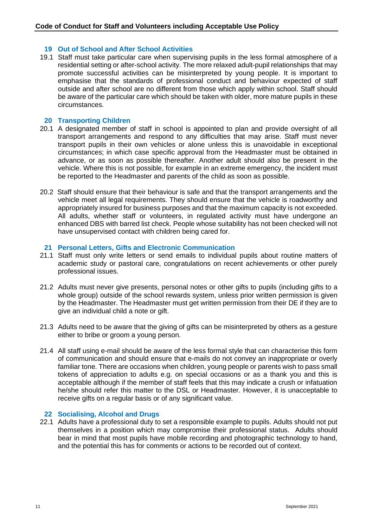## **19 Out of School and After School Activities**

19.1 Staff must take particular care when supervising pupils in the less formal atmosphere of a residential setting or after-school activity. The more relaxed adult-pupil relationships that may promote successful activities can be misinterpreted by young people. It is important to emphasise that the standards of professional conduct and behaviour expected of staff outside and after school are no different from those which apply within school. Staff should be aware of the particular care which should be taken with older, more mature pupils in these circumstances.

#### **20 Transporting Children**

- 20.1 A designated member of staff in school is appointed to plan and provide oversight of all transport arrangements and respond to any difficulties that may arise. Staff must never transport pupils in their own vehicles or alone unless this is unavoidable in exceptional circumstances; in which case specific approval from the Headmaster must be obtained in advance, or as soon as possible thereafter. Another adult should also be present in the vehicle. Where this is not possible, for example in an extreme emergency, the incident must be reported to the Headmaster and parents of the child as soon as possible.
- 20.2 Staff should ensure that their behaviour is safe and that the transport arrangements and the vehicle meet all legal requirements. They should ensure that the vehicle is roadworthy and appropriately insured for business purposes and that the maximum capacity is not exceeded. All adults, whether staff or volunteers, in regulated activity must have undergone an enhanced DBS with barred list check. People whose suitability has not been checked will not have unsupervised contact with children being cared for.

#### **21 Personal Letters, Gifts and Electronic Communication**

- 21.1 Staff must only write letters or send emails to individual pupils about routine matters of academic study or pastoral care, congratulations on recent achievements or other purely professional issues.
- 21.2 Adults must never give presents, personal notes or other gifts to pupils (including gifts to a whole group) outside of the school rewards system, unless prior written permission is given by the Headmaster. The Headmaster must get written permission from their DE if they are to give an individual child a note or gift.
- 21.3 Adults need to be aware that the giving of gifts can be misinterpreted by others as a gesture either to bribe or groom a young person.
- 21.4 All staff using e-mail should be aware of the less formal style that can characterise this form of communication and should ensure that e-mails do not convey an inappropriate or overly familiar tone. There are occasions when children, young people or parents wish to pass small tokens of appreciation to adults e.g. on special occasions or as a thank you and this is acceptable although if the member of staff feels that this may indicate a crush or infatuation he/she should refer this matter to the DSL or Headmaster. However, it is unacceptable to receive gifts on a regular basis or of any significant value.

#### **22 Socialising, Alcohol and Drugs**

22.1 Adults have a professional duty to set a responsible example to pupils. Adults should not put themselves in a position which may compromise their professional status. Adults should bear in mind that most pupils have mobile recording and photographic technology to hand, and the potential this has for comments or actions to be recorded out of context.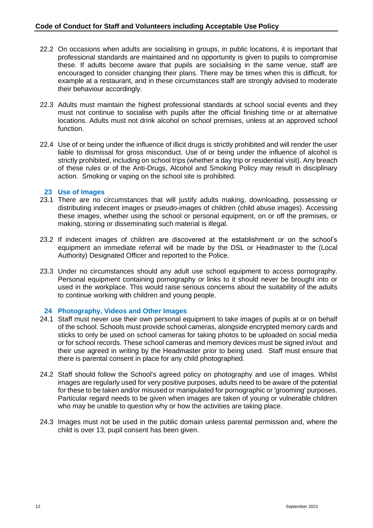- 22.2 On occasions when adults are socialising in groups, in public locations, it is important that professional standards are maintained and no opportunity is given to pupils to compromise these. If adults become aware that pupils are socialising in the same venue, staff are encouraged to consider changing their plans. There may be times when this is difficult, for example at a restaurant, and in these circumstances staff are strongly advised to moderate their behaviour accordingly.
- 22.3 Adults must maintain the highest professional standards at school social events and they must not continue to socialise with pupils after the official finishing time or at alternative locations. Adults must not drink alcohol on school premises, unless at an approved school function.
- 22.4 Use of or being under the influence of illicit drugs is strictly prohibited and will render the user liable to dismissal for gross misconduct. Use of or being under the influence of alcohol is strictly prohibited, including on school trips (whether a day trip or residential visit). Any breach of these rules or of the Anti-Drugs, Alcohol and Smoking Policy may result in disciplinary action. Smoking or vaping on the school site is prohibited.

# **23 Use of Images**

- 23.1 There are no circumstances that will justify adults making, downloading, possessing or distributing indecent images or pseudo-images of children (child abuse images). Accessing these images, whether using the school or personal equipment, on or off the premises, or making, storing or disseminating such material is illegal.
- 23.2 If indecent images of children are discovered at the establishment or on the school's equipment an immediate referral will be made by the DSL or Headmaster to the (Local Authority) Designated Officer and reported to the Police.
- 23.3 Under no circumstances should any adult use school equipment to access pornography. Personal equipment containing pornography or links to it should never be brought into or used in the workplace. This would raise serious concerns about the suitability of the adults to continue working with children and young people.

# **24 Photography, Videos and Other Images**

- 24.1 Staff must never use their own personal equipment to take images of pupils at or on behalf of the school. Schools must provide school cameras, alongside encrypted memory cards and sticks to only be used on school cameras for taking photos to be uploaded on social media or for school records. These school cameras and memory devices must be signed in/out and their use agreed in writing by the Headmaster prior to being used. Staff must ensure that there is parental consent in place for any child photographed.
- 24.2 Staff should follow the School's agreed policy on photography and use of images. Whilst images are regularly used for very positive purposes, adults need to be aware of the potential for these to be taken and/or misused or manipulated for pornographic or 'grooming' purposes. Particular regard needs to be given when images are taken of young or vulnerable children who may be unable to question why or how the activities are taking place.
- 24.3 Images must not be used in the public domain unless parental permission and, where the child is over 13, pupil consent has been given.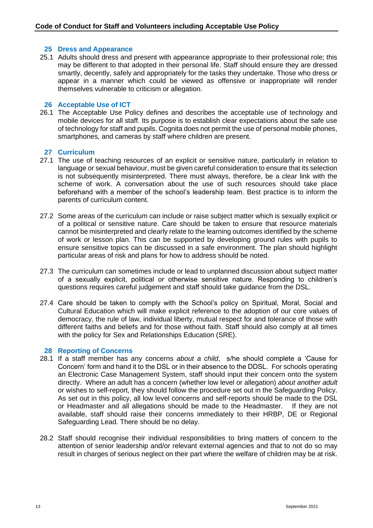## **25 Dress and Appearance**

25.1 Adults should dress and present with appearance appropriate to their professional role; this may be different to that adopted in their personal life. Staff should ensure they are dressed smartly, decently, safely and appropriately for the tasks they undertake. Those who dress or appear in a manner which could be viewed as offensive or inappropriate will render themselves vulnerable to criticism or allegation.

#### **26 Acceptable Use of ICT**

26.1 The Acceptable Use Policy defines and describes the acceptable use of technology and mobile devices for all staff. Its purpose is to establish clear expectations about the safe use of technology for staff and pupils. Cognita does not permit the use of personal mobile phones, smartphones, and cameras by staff where children are present.

# **27 Curriculum**

- 27.1 The use of teaching resources of an explicit or sensitive nature, particularly in relation to language or sexual behaviour, must be given careful consideration to ensure that its selection is not subsequently misinterpreted. There must always, therefore, be a clear link with the scheme of work. A conversation about the use of such resources should take place beforehand with a member of the school's leadership team. Best practice is to inform the parents of curriculum content.
- 27.2 Some areas of the curriculum can include or raise subject matter which is sexually explicit or of a political or sensitive nature. Care should be taken to ensure that resource materials cannot be misinterpreted and clearly relate to the learning outcomes identified by the scheme of work or lesson plan. This can be supported by developing ground rules with pupils to ensure sensitive topics can be discussed in a safe environment. The plan should highlight particular areas of risk and plans for how to address should be noted.
- 27.3 The curriculum can sometimes include or lead to unplanned discussion about subject matter of a sexually explicit, political or otherwise sensitive nature. Responding to children's questions requires careful judgement and staff should take guidance from the DSL.
- 27.4 Care should be taken to comply with the School's policy on Spiritual, Moral, Social and Cultural Education which will make explicit reference to the adoption of our core values of democracy, the rule of law, individual liberty, mutual respect for and tolerance of those with different faiths and beliefs and for those without faith. Staff should also comply at all times with the policy for Sex and Relationships Education (SRE).

#### **28 Reporting of Concerns**

- 28.1 If a staff member has any concerns *about a child*, s/he should complete a 'Cause for Concern' form and hand it to the DSL or in their absence to the DDSL. For schools operating an Electronic Case Management System, staff should input their concern onto the system directly. Where an adult has a concern (whether low level or allegation) *about another adult* or wishes to self-report, they should follow the procedure set out in the Safeguarding Policy. As set out in this policy, all low level concerns and self-reports should be made to the DSL or Headmaster and all allegations should be made to the Headmaster. If they are not available, staff should raise their concerns immediately to their HRBP, DE or Regional Safeguarding Lead. There should be no delay.
- 28.2 Staff should recognise their individual responsibilities to bring matters of concern to the attention of senior leadership and/or relevant external agencies and that to not do so may result in charges of serious neglect on their part where the welfare of children may be at risk.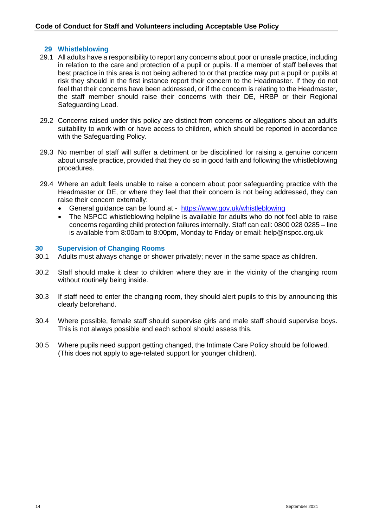# **29 Whistleblowing**

- 29.1 All adults have a responsibility to report any concerns about poor or unsafe practice, including in relation to the care and protection of a pupil or pupils. If a member of staff believes that best practice in this area is not being adhered to or that practice may put a pupil or pupils at risk they should in the first instance report their concern to the Headmaster. If they do not feel that their concerns have been addressed, or if the concern is relating to the Headmaster, the staff member should raise their concerns with their DE, HRBP or their Regional Safeguarding Lead.
- 29.2 Concerns raised under this policy are distinct from concerns or allegations about an adult's suitability to work with or have access to children, which should be reported in accordance with the Safeguarding Policy.
- 29.3 No member of staff will suffer a detriment or be disciplined for raising a genuine concern about unsafe practice, provided that they do so in good faith and following the whistleblowing procedures.
- 29.4 Where an adult feels unable to raise a concern about poor safeguarding practice with the Headmaster or DE, or where they feel that their concern is not being addressed, they can raise their concern externally:
	- General guidance can be found at <https://www.gov.uk/whistleblowing>
	- The NSPCC whistleblowing helpline is available for adults who do not feel able to raise concerns regarding child protection failures internally. Staff can call: 0800 028 0285 – line is available from 8:00am to 8:00pm, Monday to Friday or email: help@nspcc.org.uk

#### **30 Supervision of Changing Rooms**

- 30.1 Adults must always change or shower privately; never in the same space as children.
- 30.2 Staff should make it clear to children where they are in the vicinity of the changing room without routinely being inside.
- 30.3 If staff need to enter the changing room, they should alert pupils to this by announcing this clearly beforehand.
- 30.4 Where possible, female staff should supervise girls and male staff should supervise boys. This is not always possible and each school should assess this.
- 30.5 Where pupils need support getting changed, the Intimate Care Policy should be followed. (This does not apply to age-related support for younger children).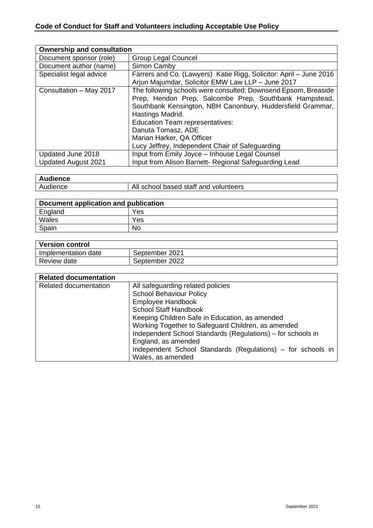| <b>Ownership and consultation</b> |                                                                    |
|-----------------------------------|--------------------------------------------------------------------|
| Document sponsor (role)           | <b>Group Legal Councel</b>                                         |
| Document author (name)            | Simon Camby                                                        |
| Specialist legal advice           | Farrers and Co. (Lawyers) Katie Rigg, Solicitor: April - June 2016 |
|                                   | Arjun Majumdar, Solicitor EMW Law LLP - June 2017                  |
| Consultation - May 2017           | The following schools were consulted: Downsend Epsom, Breaside     |
|                                   | Prep, Hendon Prep, Salcombe Prep, Southbank Hampstead,             |
|                                   | Southbank Kensington, NBH Canonbury, Huddersfield Grammar,         |
|                                   | Hastings Madrid.                                                   |
|                                   | <b>Education Team representatives:</b>                             |
|                                   | Danuta Tomasz, ADE                                                 |
|                                   | Marian Harker, QA Officer                                          |
|                                   | Lucy Jeffrey, Independent Chair of Safeguarding                    |
| Updated June 2018                 | Input from Emily Joyce - Inhouse Legal Counsel                     |
| <b>Updated August 2021</b>        | Input from Alison Barnett- Regional Safeguarding Lead              |

| <b>Audience</b> |                                                   |
|-----------------|---------------------------------------------------|
| Audience        | staff and<br>All<br>school<br>based<br>volunteers |

| Document application and publication |     |
|--------------------------------------|-----|
| England                              | Yes |
| Wales                                | Yes |
| Spain                                | No  |

| <b>Version control</b> |                |
|------------------------|----------------|
| Implementation date    | September 2021 |
| Review date            | September 2022 |

| <b>Related documentation</b> |                                                             |
|------------------------------|-------------------------------------------------------------|
| Related documentation        | All safeguarding related policies                           |
|                              | <b>School Behaviour Policy</b>                              |
|                              | Employee Handbook                                           |
|                              | <b>School Staff Handbook</b>                                |
|                              | Keeping Children Safe in Education, as amended              |
|                              | Working Together to Safeguard Children, as amended          |
|                              | Independent School Standards (Regulations) – for schools in |
|                              | England, as amended                                         |
|                              | Independent School Standards (Regulations) – for schools in |
|                              | Wales, as amended                                           |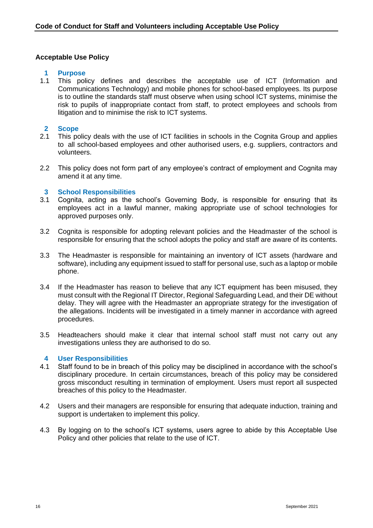# **Acceptable Use Policy**

# **1 Purpose**

1.1 This policy defines and describes the acceptable use of ICT (Information and Communications Technology) and mobile phones for school-based employees. Its purpose is to outline the standards staff must observe when using school ICT systems, minimise the risk to pupils of inappropriate contact from staff, to protect employees and schools from litigation and to minimise the risk to ICT systems.

## **2 Scope**

- 2.1 This policy deals with the use of ICT facilities in schools in the Cognita Group and applies to all school-based employees and other authorised users, e.g. suppliers, contractors and volunteers.
- 2.2 This policy does not form part of any employee's contract of employment and Cognita may amend it at any time.

#### **3 School Responsibilities**

- 3.1 Cognita, acting as the school's Governing Body, is responsible for ensuring that its employees act in a lawful manner, making appropriate use of school technologies for approved purposes only.
- 3.2 Cognita is responsible for adopting relevant policies and the Headmaster of the school is responsible for ensuring that the school adopts the policy and staff are aware of its contents.
- 3.3 The Headmaster is responsible for maintaining an inventory of ICT assets (hardware and software), including any equipment issued to staff for personal use, such as a laptop or mobile phone.
- 3.4 If the Headmaster has reason to believe that any ICT equipment has been misused, they must consult with the Regional IT Director, Regional Safeguarding Lead, and their DE without delay. They will agree with the Headmaster an appropriate strategy for the investigation of the allegations. Incidents will be investigated in a timely manner in accordance with agreed procedures.
- 3.5 Headteachers should make it clear that internal school staff must not carry out any investigations unless they are authorised to do so.

#### **4 User Responsibilities**

- 4.1 Staff found to be in breach of this policy may be disciplined in accordance with the school's disciplinary procedure. In certain circumstances, breach of this policy may be considered gross misconduct resulting in termination of employment. Users must report all suspected breaches of this policy to the Headmaster.
- 4.2 Users and their managers are responsible for ensuring that adequate induction, training and support is undertaken to implement this policy.
- 4.3 By logging on to the school's ICT systems, users agree to abide by this Acceptable Use Policy and other policies that relate to the use of ICT.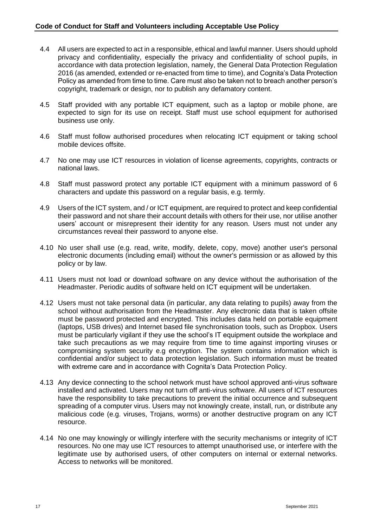- 4.4 All users are expected to act in a responsible, ethical and lawful manner. Users should uphold privacy and confidentiality, especially the privacy and confidentiality of school pupils, in accordance with data protection legislation, namely, the General Data Protection Regulation 2016 (as amended, extended or re-enacted from time to time), and Cognita's Data Protection Policy as amended from time to time. Care must also be taken not to breach another person's copyright, trademark or design, nor to publish any defamatory content.
- 4.5 Staff provided with any portable ICT equipment, such as a laptop or mobile phone, are expected to sign for its use on receipt. Staff must use school equipment for authorised business use only.
- 4.6 Staff must follow authorised procedures when relocating ICT equipment or taking school mobile devices offsite.
- 4.7 No one may use ICT resources in violation of license agreements, copyrights, contracts or national laws.
- 4.8 Staff must password protect any portable ICT equipment with a minimum password of 6 characters and update this password on a regular basis, e.g. termly.
- 4.9 Users of the ICT system, and / or ICT equipment, are required to protect and keep confidential their password and not share their account details with others for their use, nor utilise another users' account or misrepresent their identity for any reason. Users must not under any circumstances reveal their password to anyone else.
- 4.10 No user shall use (e.g. read, write, modify, delete, copy, move) another user's personal electronic documents (including email) without the owner's permission or as allowed by this policy or by law.
- 4.11 Users must not load or download software on any device without the authorisation of the Headmaster. Periodic audits of software held on ICT equipment will be undertaken.
- 4.12 Users must not take personal data (in particular, any data relating to pupils) away from the school without authorisation from the Headmaster. Any electronic data that is taken offsite must be password protected and encrypted. This includes data held on portable equipment (laptops, USB drives) and Internet based file synchronisation tools, such as Dropbox. Users must be particularly vigilant if they use the school's IT equipment outside the workplace and take such precautions as we may require from time to time against importing viruses or compromising system security e.g encryption. The system contains information which is confidential and/or subject to data protection legislation. Such information must be treated with extreme care and in accordance with Cognita's Data Protection Policy.
- 4.13 Any device connecting to the school network must have school approved anti-virus software installed and activated. Users may not turn off anti-virus software. All users of ICT resources have the responsibility to take precautions to prevent the initial occurrence and subsequent spreading of a computer virus. Users may not knowingly create, install, run, or distribute any malicious code (e.g. viruses, Trojans, worms) or another destructive program on any ICT resource.
- 4.14 No one may knowingly or willingly interfere with the security mechanisms or integrity of ICT resources. No one may use ICT resources to attempt unauthorised use, or interfere with the legitimate use by authorised users, of other computers on internal or external networks. Access to networks will be monitored.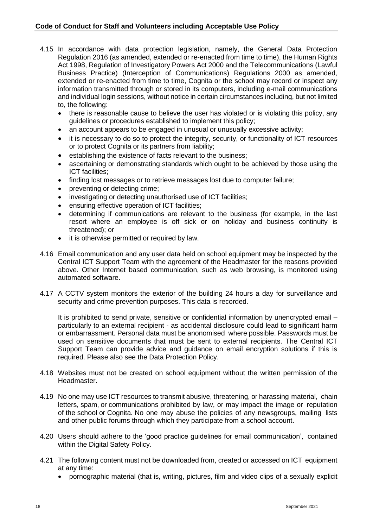- 4.15 In accordance with data protection legislation, namely, the General Data Protection Regulation 2016 (as amended, extended or re-enacted from time to time), the Human Rights Act 1998, Regulation of Investigatory Powers Act 2000 and the Telecommunications (Lawful Business Practice) (Interception of Communications) Regulations 2000 as amended, extended or re-enacted from time to time, Cognita or the school may record or inspect any information transmitted through or stored in its computers, including e-mail communications and individual login sessions, without notice in certain circumstances including, but not limited to, the following:
	- there is reasonable cause to believe the user has violated or is violating this policy, any guidelines or procedures established to implement this policy;
	- an account appears to be engaged in unusual or unusually excessive activity;
	- it is necessary to do so to protect the integrity, security, or functionality of ICT resources or to protect Cognita or its partners from liability;
	- establishing the existence of facts relevant to the business;
	- ascertaining or demonstrating standards which ought to be achieved by those using the ICT facilities;
	- finding lost messages or to retrieve messages lost due to computer failure;
	- preventing or detecting crime;
	- investigating or detecting unauthorised use of ICT facilities;
	- ensuring effective operation of ICT facilities;
	- determining if communications are relevant to the business (for example, in the last resort where an employee is off sick or on holiday and business continuity is threatened); or
	- it is otherwise permitted or required by law.
- 4.16 Email communication and any user data held on school equipment may be inspected by the Central ICT Support Team with the agreement of the Headmaster for the reasons provided above. Other Internet based communication, such as web browsing, is monitored using automated software.
- 4.17 A CCTV system monitors the exterior of the building 24 hours a day for surveillance and security and crime prevention purposes. This data is recorded.

It is prohibited to send private, sensitive or confidential information by unencrypted email particularly to an external recipient - as accidental disclosure could lead to significant harm or embarrassment. Personal data must be anonomised where possible. Passwords must be used on sensitive documents that must be sent to external recipients. The Central ICT Support Team can provide advice and guidance on email encryption solutions if this is required. Please also see the Data Protection Policy.

- 4.18 Websites must not be created on school equipment without the written permission of the Headmaster.
- 4.19 No one may use ICT resources to transmit abusive, threatening, or harassing material, chain letters, spam, or communications prohibited by law, or may impact the image or reputation of the school or Cognita. No one may abuse the policies of any newsgroups, mailing lists and other public forums through which they participate from a school account.
- 4.20 Users should adhere to the 'good practice guidelines for email communication', contained within the Digital Safety Policy.
- 4.21 The following content must not be downloaded from, created or accessed on ICT equipment at any time:
	- pornographic material (that is, writing, pictures, film and video clips of a sexually explicit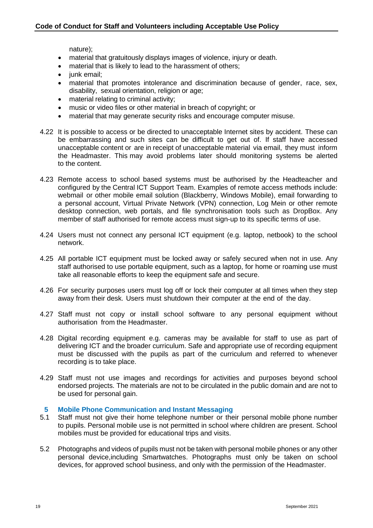nature);

- material that gratuitously displays images of violence, injury or death.
- material that is likely to lead to the harassment of others:
- iunk email:
- material that promotes intolerance and discrimination because of gender, race, sex, disability, sexual orientation, religion or age;
- material relating to criminal activity;
- music or video files or other material in breach of copyright; or
- material that may generate security risks and encourage computer misuse.
- 4.22 It is possible to access or be directed to unacceptable Internet sites by accident. These can be embarrassing and such sites can be difficult to get out of. If staff have accessed unacceptable content or are in receipt of unacceptable material via email, they must inform the Headmaster. This may avoid problems later should monitoring systems be alerted to the content.
- 4.23 Remote access to school based systems must be authorised by the Headteacher and configured by the Central ICT Support Team. Examples of remote access methods include: webmail or other mobile email solution (Blackberry, Windows Mobile), email forwarding to a personal account, Virtual Private Network (VPN) connection, Log Mein or other remote desktop connection, web portals, and file synchronisation tools such as DropBox. Any member of staff authorised for remote access must sign-up to its specific terms of use.
- 4.24 Users must not connect any personal ICT equipment (e.g. laptop, netbook) to the school network.
- 4.25 All portable ICT equipment must be locked away or safely secured when not in use. Any staff authorised to use portable equipment, such as a laptop, for home or roaming use must take all reasonable efforts to keep the equipment safe and secure.
- 4.26 For security purposes users must log off or lock their computer at all times when they step away from their desk. Users must shutdown their computer at the end of the day.
- 4.27 Staff must not copy or install school software to any personal equipment without authorisation from the Headmaster.
- 4.28 Digital recording equipment e.g. cameras may be available for staff to use as part of delivering ICT and the broader curriculum. Safe and appropriate use of recording equipment must be discussed with the pupils as part of the curriculum and referred to whenever recording is to take place.
- 4.29 Staff must not use images and recordings for activities and purposes beyond school endorsed projects. The materials are not to be circulated in the public domain and are not to be used for personal gain.

# **5 Mobile Phone Communication and Instant Messaging**

- 5.1 Staff must not give their home telephone number or their personal mobile phone number to pupils. Personal mobile use is not permitted in school where children are present. School mobiles must be provided for educational trips and visits.
- 5.2 Photographs and videos of pupils must not be taken with personal mobile phones or any other personal device,including Smartwatches. Photographs must only be taken on school devices, for approved school business, and only with the permission of the Headmaster.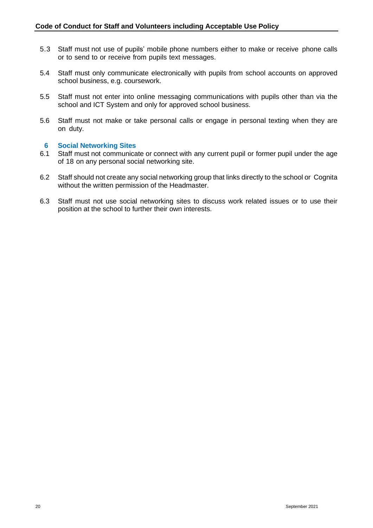- 5.3 Staff must not use of pupils' mobile phone numbers either to make or receive phone calls or to send to or receive from pupils text messages.
- 5.4 Staff must only communicate electronically with pupils from school accounts on approved school business, e.g. coursework.
- 5.5 Staff must not enter into online messaging communications with pupils other than via the school and ICT System and only for approved school business.
- 5.6 Staff must not make or take personal calls or engage in personal texting when they are on duty.

#### **6 Social Networking Sites**

- 6.1 Staff must not communicate or connect with any current pupil or former pupil under the age of 18 on any personal social networking site.
- 6.2 Staff should not create any social networking group that links directly to the school or Cognita without the written permission of the Headmaster.
- 6.3 Staff must not use social networking sites to discuss work related issues or to use their position at the school to further their own interests.